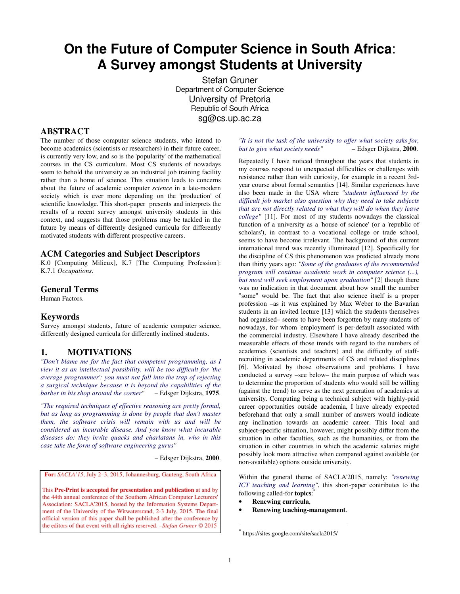# **On the Future of Computer Science in South Africa**: **A Survey amongst Students at University**

Stefan Gruner Department of Computer Science University of Pretoria Republic of South Africa sg@cs.up.ac.za

# **ABSTRACT**

The number of those computer science students, who intend to become academics (scientists or researchers) in their future career, is currently very low, and so is the 'popularity' of the mathematical courses in the CS curriculum. Most CS students of nowadays seem to behold the university as an industrial job training facility rather than a home of science. This situation leads to concerns about the future of academic computer *science* in a late-modern society which is ever more depending on the 'production' of scientific knowledge. This short-paper presents and interprets the results of a recent survey amongst university students in this context, and suggests that those problems may be tackled in the future by means of differently designed curricula for differently motivated students with different prospective careers.

#### **ACM Categories and Subject Descriptors**

K.0 [Computing Milieux], K.7 [The Computing Profession]: K.7.1 *Occupations*.

### **General Terms**

Human Factors.

#### **Keywords**

Survey amongst students, future of academic computer science, differently designed curricula for differently inclined students.

#### **1. MOTIVATIONS**

*"Don't blame me for the fact that competent programming, as I view it as an intellectual possibility, will be too difficult for 'the average programmer': you must not fall into the trap of rejecting a surgical technique because it is beyond the capabilities of the barber in his shop around the corner"* – Edsger Dijkstra, **1975**.

*"The required techniques of effective reasoning are pretty formal, but as long as programming is done by people that don't master them, the software crisis will remain with us and will be considered an incurable disease. And you know what incurable diseases do: they invite quacks and charlatans in, who in this case take the form of software engineering gurus"*

– Edsger Dijkstra, **2000**.

**For:** *SACLA'15*, July 2–3, 2015, Johannesburg, Gauteng, South Africa

This **Pre-Print is accepted for presentation and publication** at and by the 44th annual conference of the Southern African Computer Lecturers' Association: SACLA'2015, hosted by the Information Systems Department of the University of the Witwatersrand, 2-3 July, 2015. The final official version of this paper shall be published after the conference by the editors of that event with all rights reserved. –*Stefan Gruner* © 2015

*"It is not the task of the university to offer what society asks for, but to give what society needs"* – Edsger Dijkstra, **2000**.

Repeatedly I have noticed throughout the years that students in my courses respond to unexpected difficulties or challenges with resistance rather than with curiosity, for example in a recent 3rdyear course about formal semantics [14]. Similar experiences have also been made in the USA where *"students influenced by the difficult job market also question why they need to take subjects that are not directly related to what they will do when they leave college"* [11]. For most of my students nowadays the classical function of a university as a 'house of science' (or a 'republic of scholars'), in contrast to a vocational college or trade school, seems to have become irrelevant. The background of this current international trend was recently illuminated [12]. Specifically for the discipline of CS this phenomenon was predicted already more than thirty years ago: *"Some of the graduates of the recommended program will continue academic work in computer science (...), but most will seek employment upon graduation"* [2] though there was no indication in that document about how small the number "some" would be. The fact that also science itself is a proper profession –as it was explained by Max Weber to the Bavarian students in an invited lecture [13] which the students themselves had organised– seems to have been forgotten by many students of nowadays, for whom 'employment' is per-default associated with the commercial industry. Elsewhere I have already described the measurable effects of those trends with regard to the numbers of academics (scientists and teachers) and the difficulty of staffrecruiting in academic departments of CS and related disciplines [6]. Motivated by those observations and problems I have conducted a survey –see below– the main purpose of which was to determine the proportion of students who would still be willing (against the trend) to serve as the next generation of academics at university. Computing being a technical subject with highly-paid career opportunities outside academia, I have already expected beforehand that only a small number of answers would indicate any inclination towards an academic career. This local and subject-specific situation, however, might possibly differ from the situation in other faculties, such as the humanities, or from the situation in other countries in which the academic salaries might possibly look more attractive when compared against available (or non-available) options outside university.

Within the general theme of SACLA'2015, namely: *"renewing ICT teaching and learning"*, this short-paper contributes to the following called-for **topics**: \*

- **Renewing curricula**,
- **Renewing teaching-management**.

<sup>\*</sup> https://sites.google.com/site/sacla2015/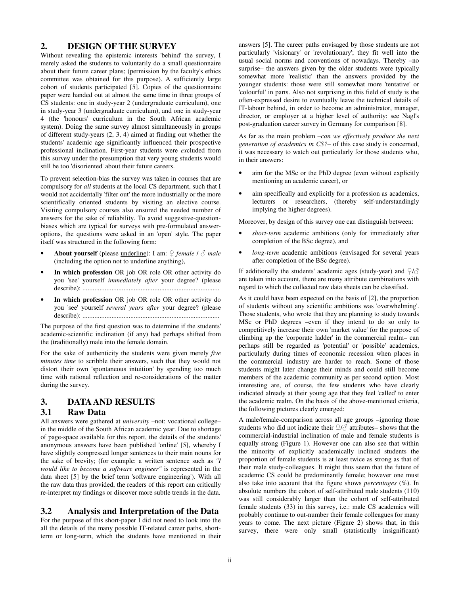# **2. DESIGN OF THE SURVEY**

Without revealing the epistemic interests 'behind' the survey, I merely asked the students to voluntarily do a small questionnaire about their future career plans; (permission by the faculty's ethics committee was obtained for this purpose). A sufficiently large cohort of students participated [5]. Copies of the questionnaire paper were handed out at almost the same time in three groups of CS students: one in study-year 2 (undergraduate curriculum), one in study-year 3 (undergraduate curriculum), and one in study-year 4 (the 'honours' curriculum in the South African academic system). Doing the same survey almost simultaneously in groups of different study-years (2, 3, 4) aimed at finding out whether the students' academic age significantly influenced their prospective professional inclination. First-year students were *ex*cluded from this survey under the presumption that very young students would still be too 'disoriented' about their future careers.

To prevent selection-bias the survey was taken in courses that are compulsory for *all* students at the local CS department, such that I would not accidentally 'filter out' the more industrially or the more scientifically oriented students by visiting an elective course. Visiting compulsory courses also ensured the needed number of answers for the sake of reliability. To avoid suggestive-questionbiases which are typical for surveys with pre-formulated answeroptions, the questions were asked in an 'open' style. The paper itself was structured in the following form:

- **About yourself** (please <u>underline</u>): I am:  $\varphi$  *female*  $\ell \circlearrowleft$  *male* (including the option not to underline anything),
- **In which profession** OR job OR role OR other activity do you 'see' yourself *immediately after* your degree? (please describe): ................................................................................
- **In which profession** OR job OR role OR other activity do you 'see' yourself *several years after* your degree? (please describe): ................................................................................

The purpose of the first question was to determine if the students' academic-scientific inclination (if any) had perhaps shifted from the (traditionally) male into the female domain.

For the sake of authenticity the students were given merely *five minutes time* to scribble their answers, such that they would not distort their own 'spontaneous intuition' by spending too much time with rational reflection and re-considerations of the matter during the survey.

# **3. DATAAND RESULTS**

#### **3.1 Raw Data**

All answers were gathered at *university* –not: vocational college– in the middle of the South African academic year. Due to shortage of page-space available for this report, the details of the students' anonymous answers have been published 'online' [5], whereby I have slightly compressed longer sentences to their main nouns for the sake of brevity; (for example: a written sentence such as *"I would like to become a software engineer"* is represented in the data sheet [5] by the brief term 'software engineering'). With all the raw data thus provided, the readers of this report can critically re-interpret my findings or discover more subtle trends in the data.

# **3.2 Analysis and Interpretation of the Data**

For the purpose of this short-paper I did not need to look into the all the details of the many possible IT-related career paths, shortterm or long-term, which the students have mentioned in their answers [5]. The career paths envisaged by those students are not particularly 'visionary' or 'revolutionary'; they fit well into the usual social norms and conventions of nowadays. Thereby –no surprise– the answers given by the older students were typically somewhat more 'realistic' than the answers provided by the younger students: those were still somewhat more 'tentative' or 'colourful' in parts. Also not surprising in this field of study is the often-expressed desire to eventually leave the technical details of IT-labour behind, in order to become an administrator, manager, director, or employer at a higher level of authority: see Nagl's post-graduation career survey in Germany for comparison [8].

As far as the main problem –*can we effectively produce the next generation of academics in CS?*– of this case study is concerned, it was necessary to watch out particularly for those students who, in their answers:

- aim for the MSc or the PhD degree (even without explicitly mentioning an academic career), or
- aim specifically and explicitly for a profession as academics, lecturers or researchers, (thereby self-understandingly implying the higher degrees).

Moreover, by design of this survey one can distinguish between:

- short-term academic ambitions (only for immediately after completion of the BSc degree), and
- *long-term* academic ambitions (envisaged for several years after completion of the BSc degree).

If additionally the students' academic ages (study-year) and  $\frac{1}{2}$ are taken into account, there are many attribute combinations with regard to which the collected raw data sheets can be classified.

As it could have been expected on the basis of [2], the proportion of students without any scientific ambitions was 'overwhelming'. Those students, who wrote that they are planning to study towards MSc or PhD degrees –even if they intend to do so only to competitively increase their own 'market value' for the purpose of climbing up the 'corporate ladder' in the commercial realm– can perhaps still be regarded as 'potential' or 'possible' academics, particularly during times of economic recession when places in the commercial industry are harder to reach. Some of those students might later change their minds and could still become members of the academic community as per second option. Most interesting are, of course, the few students who have clearly indicated already at their young age that they feel 'called' to enter the academic realm. On the basis of the above-mentioned criteria, the following pictures clearly emerged:

A male/female-comparison across all age groups –ignoring those students who did not indicate their  $\frac{1}{2}$  attributes– shows that the commercial-industrial inclination of male and female students is equally strong (Figure 1). However one can also see that within the minority of explicitly academically inclined students the proportion of female students is at least twice as strong as that of their male study-colleagues. It might thus seem that the future of academic CS could be predominantly female; however one must also take into account that the figure shows *percentages* (%). In absolute numbers the cohort of self-attributed male students (110) was still considerably larger than the cohort of self-attributed female students (33) in this survey, i.e.: male CS academics will probably continue to out-number their female colleagues for many years to come. The next picture (Figure 2) shows that, in this survey, there were only small (statistically insignificant)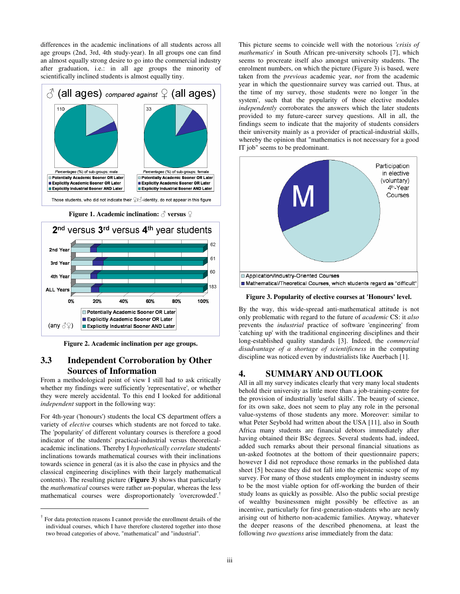differences in the academic inclinations of all students across all age groups (2nd, 3rd, 4th study-year). In all groups one can find an almost equally strong desire to go into the commercial industry after graduation, i.e.: in all age groups the minority of scientifically inclined students is almost equally tiny.





**Figure 2. Academic inclination per age groups.**

# **3.3 Independent Corroboration by Other Sources of Information**

From a methodological point of view I still had to ask critically whether my findings were sufficiently 'representative', or whether they were merely accidental. To this end I looked for additional *independent* support in the following way:

For 4th-year ('honours') students the local CS department offers a variety of *elective* courses which students are not forced to take. The 'popularity' of different voluntary courses is therefore a good indicator of the students' practical-industrial versus theoreticalacademic inclinations. Thereby I *hypothetically correlate* students' inclinations towards mathematical courses with their inclinations towards science in general (as it is also the case in physics and the classical engineering disciplines with their largely mathematical contents). The resulting picture (**Figure 3**) shows that particularly the *mathematical* courses were rather *un*-popular, whereas the less mathematical courses were disproportionately 'overcrowded'. †

This picture seems to coincide well with the notorious *'crisis of mathematics*' in South African pre-university schools [7], which seems to procreate itself also amongst university students. The enrolment numbers, on which the picture (Figure 3) is based, were taken from the *previous* academic year, *not* from the academic year in which the questionnaire survey was carried out. Thus, at the time of my survey, those students were no longer 'in the system', such that the popularity of those elective modules *independently* corroborates the answers which the later students provided to my future-career survey questions. All in all, the findings seem to indicate that the majority of students considers their university mainly as a provider of practical-industrial skills, whereby the opinion that "mathematics is not necessary for a good IT job" seems to be predominant.



**Figure 3. Popularity of elective courses at 'Honours' level.**

By the way, this wide-spread anti-mathematical attitude is not only problematic with regard to the future of *academic* CS: it *also* prevents the *industrial* practice of software 'engineering' from 'catching up' with the traditional engineering disciplines and their long-established quality standards [3]. Indeed, the *commercial disadvantage of a shortage of scientificness* in the computing discipline was noticed even by industrialists like Auerbach [1].

#### **4. SUMMARY AND OUTLOOK**

All in all my survey indicates clearly that very many local students behold their university as little more than a job-training-centre for the provision of industrially 'useful skills'. The beauty of science, for its own sake, does not seem to play any role in the personal value-systems of those students any more. Moreover: similar to what Peter Seybold had written about the USA [11], also in South Africa many students are financial debtors immediately after having obtained their BSc degrees. Several students had, indeed, added such remarks about their personal financial situations as un-asked footnotes at the bottom of their questionnaire papers; however I did not reproduce those remarks in the published data sheet [5] because they did not fall into the epistemic scope of my survey. For many of those students employment in industry seems to be the most viable option for off-working the burden of their study loans as quickly as possible. Also the public social prestige of wealthy businessmen might possibly be effective as an incentive, particularly for first-generation-students who are newly arising out of hitherto non-academic families. Anyway, whatever the deeper reasons of the described phenomena, at least the following *two questions* arise immediately from the data:

<sup>†</sup> For data protection reasons I cannot provide the enrollment details of the individual courses, which I have therefore clustered together into those two broad categories of above, "mathematical" and "industrial".